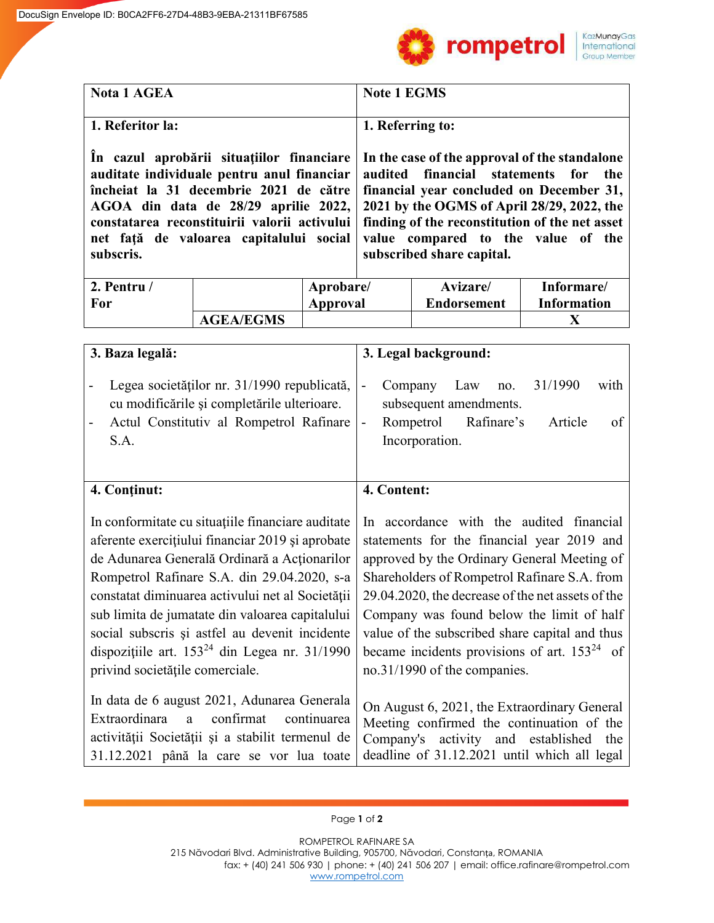

| <b>Nota 1 AGEA</b> | <b>Note 1 EGMS</b>                                                                                                                                                                                                                                                                                                                                                                                                                                                                                                                                             |
|--------------------|----------------------------------------------------------------------------------------------------------------------------------------------------------------------------------------------------------------------------------------------------------------------------------------------------------------------------------------------------------------------------------------------------------------------------------------------------------------------------------------------------------------------------------------------------------------|
| 1. Referitor la:   | 1. Referring to:                                                                                                                                                                                                                                                                                                                                                                                                                                                                                                                                               |
| subscris.          | In cazul aprobarii situatiilor financiare In the case of the approval of the standalone<br>auditate individuale pentru anul financiar   audited financial statements for the<br>încheiat la 31 decembrie 2021 de către financial year concluded on December 31,<br>AGOA din data de 28/29 aprilie 2022, 2021 by the OGMS of April 28/29, 2022, the<br>constatarea reconstituirii valorii activului   finding of the reconstitution of the net asset<br>net față de valoarea capitalului social value compared to the value of the<br>subscribed share capital. |

| 2. Pentru / |                  | Aprobare/ | <b>Avizare</b>     | Informare/         |
|-------------|------------------|-----------|--------------------|--------------------|
| <b>For</b>  |                  | Approval  | <b>Endorsement</b> | <b>Information</b> |
|             | <b>AGEA/EGMS</b> |           |                    |                    |

| 3. Baza legală:                                                                                                                                                                                                                                                                                                                                                                                                                                        | 3. Legal background:                                                                                                                                                                                                                                                                                                                                                                                                           |
|--------------------------------------------------------------------------------------------------------------------------------------------------------------------------------------------------------------------------------------------------------------------------------------------------------------------------------------------------------------------------------------------------------------------------------------------------------|--------------------------------------------------------------------------------------------------------------------------------------------------------------------------------------------------------------------------------------------------------------------------------------------------------------------------------------------------------------------------------------------------------------------------------|
| Legea societăților nr. 31/1990 republicată,<br>cu modificările și completările ulterioare.<br>Actul Constitutiv al Rompetrol Rafinare<br>S.A.                                                                                                                                                                                                                                                                                                          | 31/1990<br>with<br>Law<br>Company<br>no.<br>$\overline{\phantom{a}}$<br>subsequent amendments.<br>Rompetrol Rafinare's<br>Article<br>of<br>$\blacksquare$<br>Incorporation.                                                                                                                                                                                                                                                    |
| 4. Continut:                                                                                                                                                                                                                                                                                                                                                                                                                                           | 4. Content:                                                                                                                                                                                                                                                                                                                                                                                                                    |
| In conformitate cu situațiile financiare auditate<br>aferente exercițiului financiar 2019 și aprobate<br>de Adunarea Generală Ordinară a Acționarilor<br>Rompetrol Rafinare S.A. din 29.04.2020, s-a<br>constatat diminuarea activului net al Societății<br>sub limita de jumatate din valoarea capitalului<br>social subscris și astfel au devenit incidente<br>dispozițiile art. $153^{24}$ din Legea nr. 31/1990<br>privind societățile comerciale. | In accordance with the audited financial<br>statements for the financial year 2019 and<br>approved by the Ordinary General Meeting of<br>Shareholders of Rompetrol Rafinare S.A. from<br>29.04.2020, the decrease of the net assets of the<br>Company was found below the limit of half<br>value of the subscribed share capital and thus<br>became incidents provisions of art. $153^{24}$ of<br>no.31/1990 of the companies. |
| In data de 6 august 2021, Adunarea Generala<br>Extraordinara a<br>confirmat continuarea<br>activității Societății și a stabilit termenul de<br>31.12.2021 până la care se vor lua toate                                                                                                                                                                                                                                                                | On August 6, 2021, the Extraordinary General<br>Meeting confirmed the continuation of the<br>Company's activity and established<br>the<br>deadline of 31.12.2021 until which all legal                                                                                                                                                                                                                                         |

## Page **1** of **2**

ROMPETROL RAFINARE SA 215 Năvodari Blvd. Administrative Building, 905700, Năvodari, Constanța, ROMANIA fax: + (40) 241 506 930 | phone: + (40) 241 506 207 | email: office.rafinare@rompetrol.com [www.rompetrol.com](http://www.rompetrol.com/)